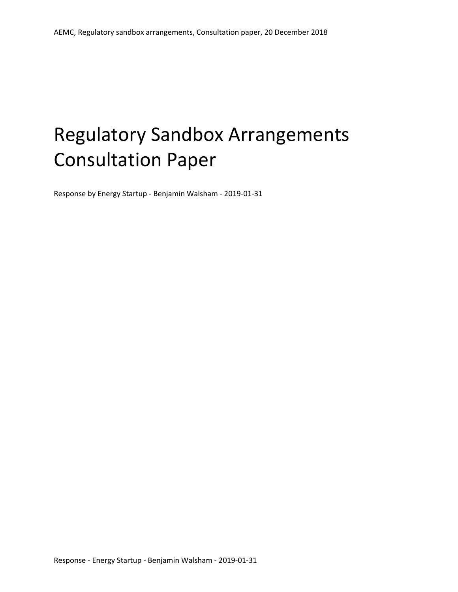# Regulatory Sandbox Arrangements Consultation Paper

Response by Energy Startup - Benjamin Walsham - 2019-01-31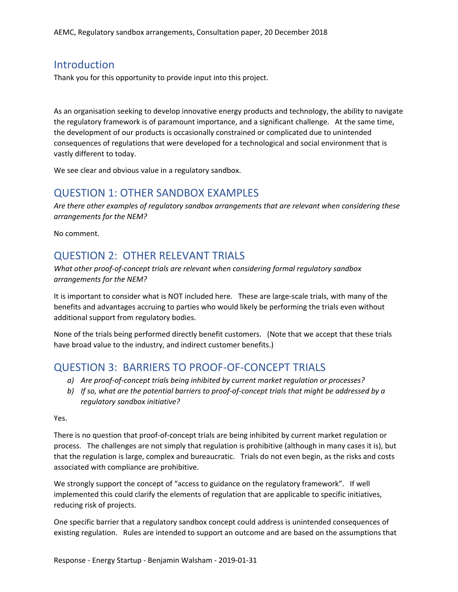#### **Introduction**

Thank you for this opportunity to provide input into this project.

As an organisation seeking to develop innovative energy products and technology, the ability to navigate the regulatory framework is of paramount importance, and a significant challenge. At the same time, the development of our products is occasionally constrained or complicated due to unintended consequences of regulations that were developed for a technological and social environment that is vastly different to today.

We see clear and obvious value in a regulatory sandbox.

## QUESTION 1: OTHER SANDBOX EXAMPLES

*Are there other examples of regulatory sandbox arrangements that are relevant when considering these arrangements for the NEM?*

No comment.

# QUESTION 2: OTHER RELEVANT TRIALS

*What other proof-of-concept trials are relevant when considering formal regulatory sandbox arrangements for the NEM?*

It is important to consider what is NOT included here. These are large-scale trials, with many of the benefits and advantages accruing to parties who would likely be performing the trials even without additional support from regulatory bodies.

None of the trials being performed directly benefit customers. (Note that we accept that these trials have broad value to the industry, and indirect customer benefits.)

## QUESTION 3: BARRIERS TO PROOF-OF-CONCEPT TRIALS

- *a) Are proof-of-concept trials being inhibited by current market regulation or processes?*
- *b) If so, what are the potential barriers to proof-of-concept trials that might be addressed by a regulatory sandbox initiative?*

Yes.

There is no question that proof-of-concept trials are being inhibited by current market regulation or process. The challenges are not simply that regulation is prohibitive (although in many cases it is), but that the regulation is large, complex and bureaucratic. Trials do not even begin, as the risks and costs associated with compliance are prohibitive.

We strongly support the concept of "access to guidance on the regulatory framework". If well implemented this could clarify the elements of regulation that are applicable to specific initiatives, reducing risk of projects.

One specific barrier that a regulatory sandbox concept could address is unintended consequences of existing regulation. Rules are intended to support an outcome and are based on the assumptions that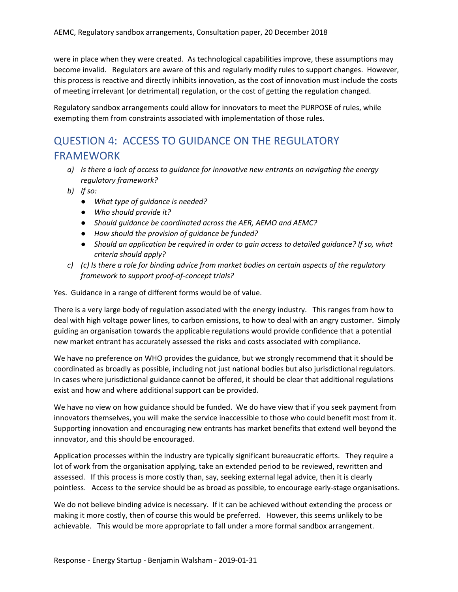were in place when they were created. As technological capabilities improve, these assumptions may become invalid. Regulators are aware of this and regularly modify rules to support changes. However, this process is reactive and directly inhibits innovation, as the cost of innovation must include the costs of meeting irrelevant (or detrimental) regulation, or the cost of getting the regulation changed.

Regulatory sandbox arrangements could allow for innovators to meet the PURPOSE of rules, while exempting them from constraints associated with implementation of those rules.

# QUESTION 4: ACCESS TO GUIDANCE ON THE REGULATORY FRAMEWORK

- *a) Is there a lack of access to guidance for innovative new entrants on navigating the energy regulatory framework?*
- *b) If so:*
	- *● What type of guidance is needed?*
	- *● Who should provide it?*
	- *● Should guidance be coordinated across the AER, AEMO and AEMC?*
	- *● How should the provision of guidance be funded?*
	- *● Should an application be required in order to gain access to detailed guidance? If so, what criteria should apply?*
- *c) (c) Is there a role for binding advice from market bodies on certain aspects of the regulatory framework to support proof-of-concept trials?*

Yes. Guidance in a range of different forms would be of value.

There is a very large body of regulation associated with the energy industry. This ranges from how to deal with high voltage power lines, to carbon emissions, to how to deal with an angry customer. Simply guiding an organisation towards the applicable regulations would provide confidence that a potential new market entrant has accurately assessed the risks and costs associated with compliance.

We have no preference on WHO provides the guidance, but we strongly recommend that it should be coordinated as broadly as possible, including not just national bodies but also jurisdictional regulators. In cases where jurisdictional guidance cannot be offered, it should be clear that additional regulations exist and how and where additional support can be provided.

We have no view on how guidance should be funded. We do have view that if you seek payment from innovators themselves, you will make the service inaccessible to those who could benefit most from it. Supporting innovation and encouraging new entrants has market benefits that extend well beyond the innovator, and this should be encouraged.

Application processes within the industry are typically significant bureaucratic efforts. They require a lot of work from the organisation applying, take an extended period to be reviewed, rewritten and assessed. If this process is more costly than, say, seeking external legal advice, then it is clearly pointless. Access to the service should be as broad as possible, to encourage early-stage organisations.

We do not believe binding advice is necessary. If it can be achieved without extending the process or making it more costly, then of course this would be preferred. However, this seems unlikely to be achievable. This would be more appropriate to fall under a more formal sandbox arrangement.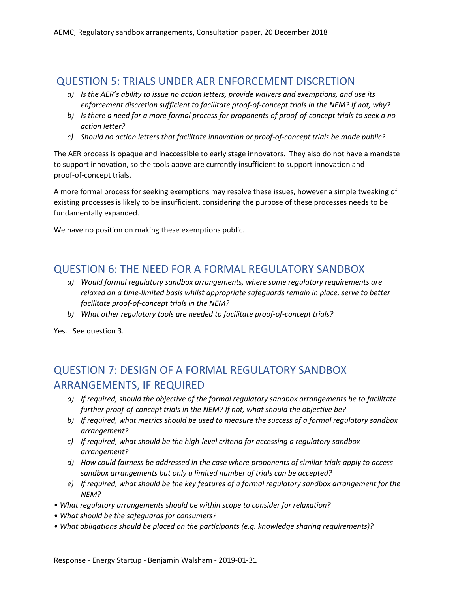# QUESTION 5: TRIALS UNDER AER ENFORCEMENT DISCRETION

- *a) Is the AER's ability to issue no action letters, provide waivers and exemptions, and use its enforcement discretion sufficient to facilitate proof-of-concept trials in the NEM? If not, why?*
- b) Is there a need for a more formal process for proponents of proof-of-concept trials to seek a no *action letter?*
- *c) Should no action letters that facilitate innovation or proof-of-concept trials be made public?*

The AER process is opaque and inaccessible to early stage innovators. They also do not have a mandate to support innovation, so the tools above are currently insufficient to support innovation and proof-of-concept trials.

A more formal process for seeking exemptions may resolve these issues, however a simple tweaking of existing processes is likely to be insufficient, considering the purpose of these processes needs to be fundamentally expanded.

We have no position on making these exemptions public.

## QUESTION 6: THE NEED FOR A FORMAL REGULATORY SANDBOX

- *a) Would formal regulatory sandbox arrangements, where some regulatory requirements are relaxed on a time-limited basis whilst appropriate safeguards remain in place, serve to better facilitate proof-of-concept trials in the NEM?*
- *b) What other regulatory tools are needed to facilitate proof-of-concept trials?*

Yes. See question 3.

# QUESTION 7: DESIGN OF A FORMAL REGULATORY SANDBOX ARRANGEMENTS, IF REQUIRED

- *a) If required, should the objective of the formal regulatory sandbox arrangements be to facilitate further proof-of-concept trials in the NEM? If not, what should the objective be?*
- *b) If required, what metrics should be used to measure the success of a formal regulatory sandbox arrangement?*
- *c) If required, what should be the high-level criteria for accessing a regulatory sandbox arrangement?*
- *d) How could fairness be addressed in the case where proponents of similar trials apply to access sandbox arrangements but only a limited number of trials can be accepted?*
- *e) If required, what should be the key features of a formal regulatory sandbox arrangement for the NEM?*
- *• What regulatory arrangements should be within scope to consider for relaxation?*
- *• What should be the safeguards for consumers?*
- *• What obligations should be placed on the participants (e.g. knowledge sharing requirements)?*